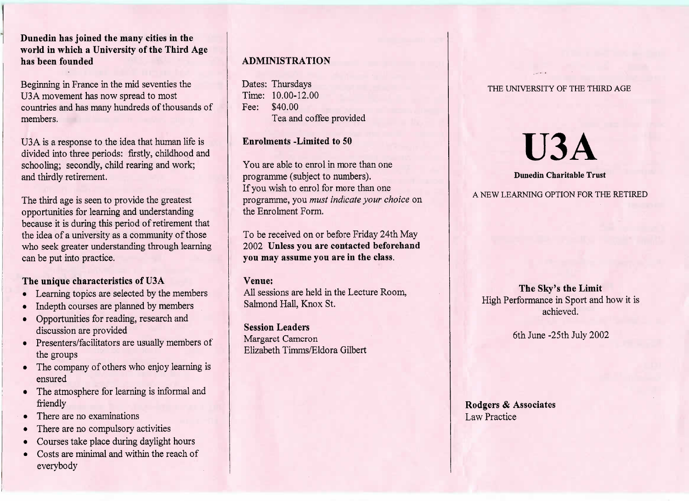# **Dunedin has joined the many cities in the world in which a University of the Third Agehas been founded**

Beginning in France in the mid seventies theU3 A movement has now spread to most countries and has many hundreds of thousands ofmembers.

USA is a response to the idea that human life is divided into three periods: firstly, childhood andschooling; secondly, child rearing and work;and thirdly retirement.

The third age is seen to provide the greatest opportunities for learning and understanding because it is during this period of retirement that the idea of a university as a community of those who seek greater understanding through learningcan be put into practice.

# **The unique characteristics of U3A**

- Learning topics are selected by the members
- Indepth courses are planned by members
- Opportunities for reading, research anddiscussion are provided
- Presenters/facilitators are usually members ofthe groups
- The company of others who enjoy learning isensured
- The atmosphere for learning is informal andfriendly
- There are no examinations
- There are no compulsory activities
- Courses take place during daylight hours
- Costs are minimal and within the reach ofeverybody

# **ADMINISTRATION**

Dates: Thursdays Time: 10.00-12.00Fee: \$40.00Tea and coffee provided

# **Enrolments -Limited to 50**

You are able to enrol in more than oneprogramme (subject to numbers). If you wish to enrol for more than one programme, you *must indicate your choice* onthe Enrolment Form.

To be received on or before Friday 24th May 2002 **Unless you are contacted beforehandyou may assume you are in the class.**

#### **Venue:**

 All sessions are held in the Lecture Room,Salmond Hall, Knox St.

**Session Leaders** Margaret CameronElizabeth Timms/Eldora Gilbert

#### THE UNIVERSITY OF THE THIRD AGE

# **U3A**

#### **Dunedin Charitable Trust**

A NEW LEARNING OPTION FOR THE RETIRED

**The Sky's the Limit** High Performance in Sport and how it isachieved.

6th June -25th July 2002

**Rodgers** *&* **Associates**Law Practice